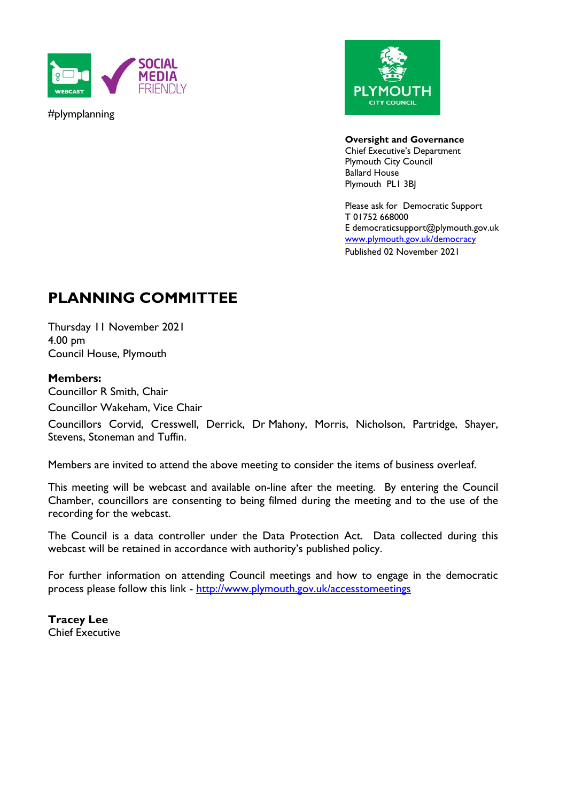

#plymplanning



**Oversight and Governance** Chief Executive's Department Plymouth City Council Ballard House Plymouth PL1 3BJ

Please ask for Democratic Support T 01752 668000 E democraticsupport@plymouth.gov.uk [www.plymouth.gov.uk/](http://www.plymouth.gov.uk/)democracy Published 02 November 2021

# **PLANNING COMMITTEE**

Thursday 11 November 2021 4.00 pm Council House, Plymouth

### **Members:**

Councillor R Smith, Chair Councillor Wakeham, Vice Chair

Councillors Corvid, Cresswell, Derrick, Dr Mahony, Morris, Nicholson, Partridge, Shayer, Stevens, Stoneman and Tuffin.

Members are invited to attend the above meeting to consider the items of business overleaf.

This meeting will be webcast and available on-line after the meeting. By entering the Council Chamber, councillors are consenting to being filmed during the meeting and to the use of the recording for the webcast.

The Council is a data controller under the Data Protection Act. Data collected during this webcast will be retained in accordance with authority's published policy.

For further information on attending Council meetings and how to engage in the democratic process please follow this link - <http://www.plymouth.gov.uk/accesstomeetings>

**Tracey Lee** Chief Executive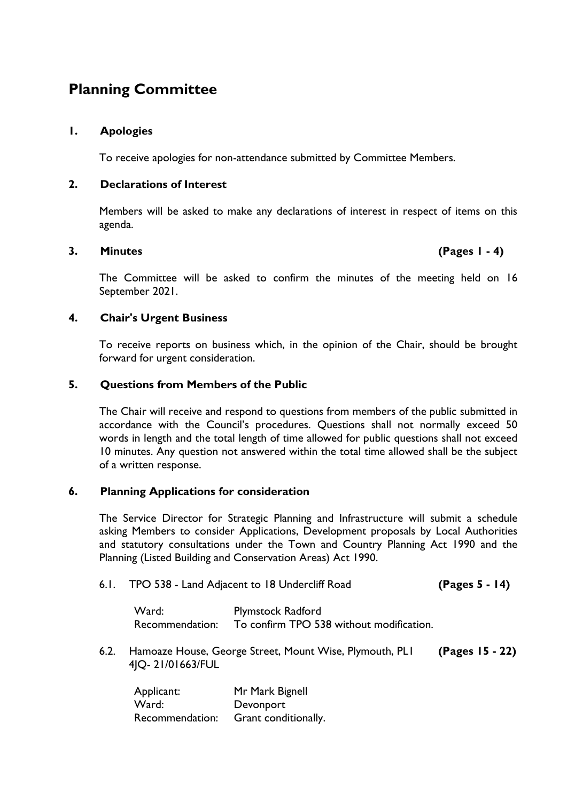## **Planning Committee**

#### **1. Apologies**

To receive apologies for non-attendance submitted by Committee Members.

#### **2. Declarations of Interest**

Members will be asked to make any declarations of interest in respect of items on this agenda.

#### **3. Minutes (Pages 1 - 4)**

The Committee will be asked to confirm the minutes of the meeting held on 16 September 2021.

#### **4. Chair's Urgent Business**

To receive reports on business which, in the opinion of the Chair, should be brought forward for urgent consideration.

#### **5. Questions from Members of the Public**

The Chair will receive and respond to questions from members of the public submitted in accordance with the Council's procedures. Questions shall not normally exceed 50 words in length and the total length of time allowed for public questions shall not exceed 10 minutes. Any question not answered within the total time allowed shall be the subject of a written response.

### **6. Planning Applications for consideration**

The Service Director for Strategic Planning and Infrastructure will submit a schedule asking Members to consider Applications, Development proposals by Local Authorities and statutory consultations under the Town and Country Planning Act 1990 and the Planning (Listed Building and Conservation Areas) Act 1990.

6.1. TPO 538 - Land Adjacent to 18 Undercliff Road **(Pages 5 - 14)**

Ward: Plymstock Radford Recommendation: To confirm TPO 538 without modification.

6.2. Hamoaze House, George Street, Mount Wise, Plymouth, PL1 4JQ- 21/01663/FUL **(Pages 15 - 22)**

| Applicant:      | Mr Mark Bignell      |
|-----------------|----------------------|
| Ward:           | Devonport            |
| Recommendation: | Grant conditionally. |